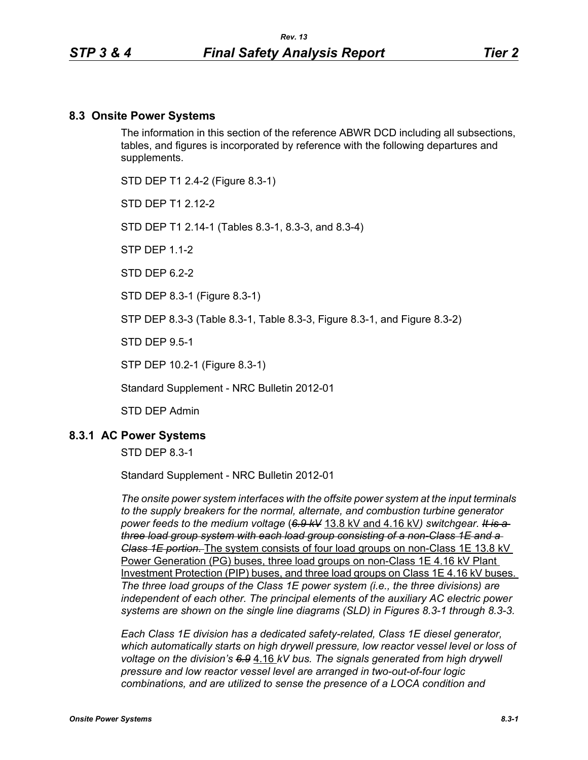#### **8.3 Onsite Power Systems**

The information in this section of the reference ABWR DCD including all subsections, tables, and figures is incorporated by reference with the following departures and supplements.

STD DEP T1 2.4-2 (Figure 8.3-1)

STD DFP T1 2 12-2

STD DEP T1 2.14-1 (Tables 8.3-1, 8.3-3, and 8.3-4)

STP DEP 1.1-2

STD DFP 62-2

STD DEP 8.3-1 (Figure 8.3-1)

STP DEP 8.3-3 (Table 8.3-1, Table 8.3-3, Figure 8.3-1, and Figure 8.3-2)

STD DEP 9.5-1

STP DEP 10.2-1 (Figure 8.3-1)

Standard Supplement - NRC Bulletin 2012-01

STD DEP Admin

#### **8.3.1 AC Power Systems**

STD DEP 8.3-1

Standard Supplement - NRC Bulletin 2012-01

*The onsite power system interfaces with the offsite power system at the input terminals to the supply breakers for the normal, alternate, and combustion turbine generator power feeds to the medium voltage* (*6.9 kV* 13.8 kV and 4.16 kV*) switchgear. It is a three load group system with each load group consisting of a non-Class 1E and a Class 1E portion.* The system consists of four load groups on non-Class 1E 13.8 kV Power Generation (PG) buses, three load groups on non-Class 1E 4.16 kV Plant Investment Protection (PIP) buses, and three load groups on Class 1E 4.16 kV buses. *The three load groups of the Class 1E power system (i.e., the three divisions) are independent of each other. The principal elements of the auxiliary AC electric power systems are shown on the single line diagrams (SLD) in Figures 8.3-1 through 8.3-3.*

*Each Class 1E division has a dedicated safety-related, Class 1E diesel generator, which automatically starts on high drywell pressure, low reactor vessel level or loss of voltage on the division's 6.9* 4.16 *kV bus. The signals generated from high drywell pressure and low reactor vessel level are arranged in two-out-of-four logic combinations, and are utilized to sense the presence of a LOCA condition and*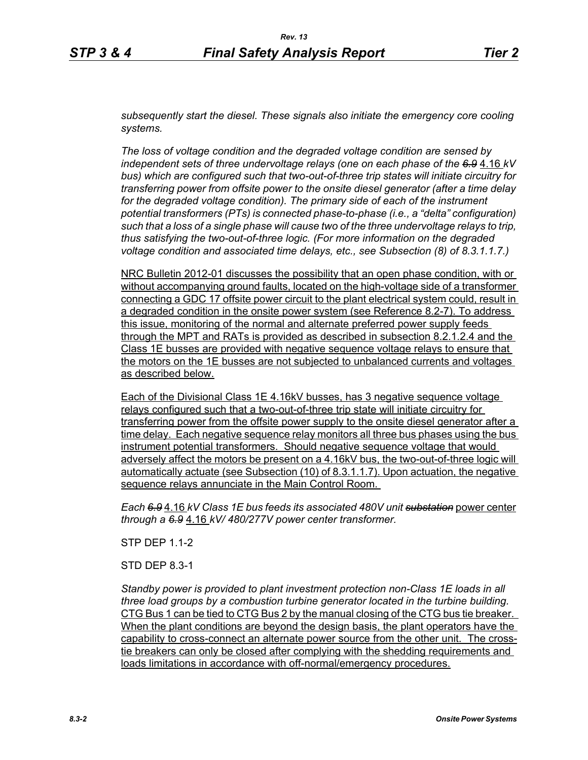*subsequently start the diesel. These signals also initiate the emergency core cooling systems.*

*The loss of voltage condition and the degraded voltage condition are sensed by independent sets of three undervoltage relays (one on each phase of the 6.9* 4.16 *kV bus) which are configured such that two-out-of-three trip states will initiate circuitry for transferring power from offsite power to the onsite diesel generator (after a time delay for the degraded voltage condition). The primary side of each of the instrument potential transformers (PTs) is connected phase-to-phase (i.e., a "delta" configuration) such that a loss of a single phase will cause two of the three undervoltage relays to trip, thus satisfying the two-out-of-three logic. (For more information on the degraded voltage condition and associated time delays, etc., see Subsection (8) of 8.3.1.1.7.)*

NRC Bulletin 2012-01 discusses the possibility that an open phase condition, with or without accompanying ground faults, located on the high-voltage side of a transformer connecting a GDC 17 offsite power circuit to the plant electrical system could, result in a degraded condition in the onsite power system (see Reference 8.2-7). To address this issue, monitoring of the normal and alternate preferred power supply feeds through the MPT and RATs is provided as described in subsection 8.2.1.2.4 and the Class 1E busses are provided with negative sequence voltage relays to ensure that the motors on the 1E busses are not subjected to unbalanced currents and voltages as described below.

Each of the Divisional Class 1E 4.16kV busses, has 3 negative sequence voltage relays configured such that a two-out-of-three trip state will initiate circuitry for transferring power from the offsite power supply to the onsite diesel generator after a time delay. Each negative sequence relay monitors all three bus phases using the bus instrument potential transformers. Should negative sequence voltage that would adversely affect the motors be present on a 4.16kV bus, the two-out-of-three logic will automatically actuate (see Subsection (10) of 8.3.1.1.7). Upon actuation, the negative sequence relays annunciate in the Main Control Room.

*Each 6.9* 4.16 *kV Class 1E bus feeds its associated 480V unit substation* power center *through a 6.9* 4.16 *kV/ 480/277V power center transformer.*

STP DEP 1.1-2

STD DEP 8.3-1

*Standby power is provided to plant investment protection non-Class 1E loads in all three load groups by a combustion turbine generator located in the turbine building.* CTG Bus 1 can be tied to CTG Bus 2 by the manual closing of the CTG bus tie breaker. When the plant conditions are beyond the design basis, the plant operators have the capability to cross-connect an alternate power source from the other unit. The crosstie breakers can only be closed after complying with the shedding requirements and loads limitations in accordance with off-normal/emergency procedures.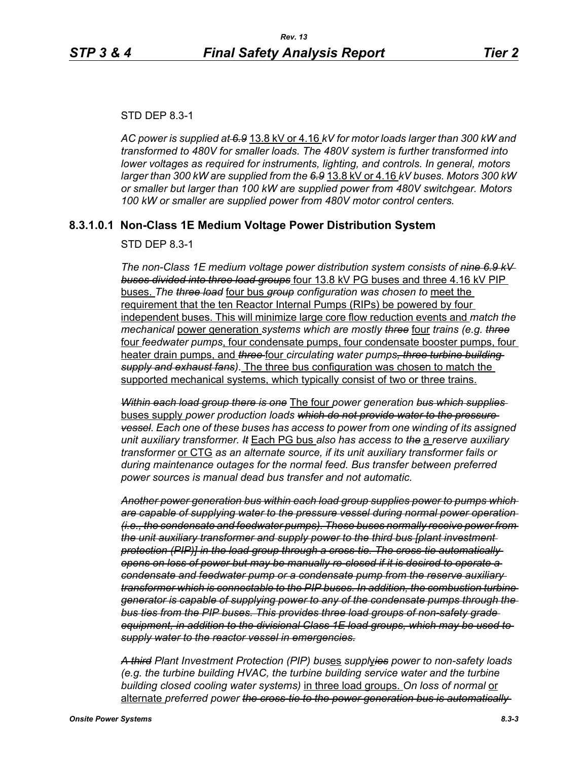#### STD DEP 8.3-1

*AC power is supplied at 6.9* 13.8 kV or 4.16 *kV for motor loads larger than 300 kW and transformed to 480V for smaller loads. The 480V system is further transformed into lower voltages as required for instruments, lighting, and controls. In general, motors larger than 300 kW are supplied from the 6.9* 13.8 kV or 4.16 *kV buses. Motors 300 kW or smaller but larger than 100 kW are supplied power from 480V switchgear. Motors 100 kW or smaller are supplied power from 480V motor control centers.*

## **8.3.1.0.1 Non-Class 1E Medium Voltage Power Distribution System**

#### STD DEP 8.3-1

*The non-Class 1E medium voltage power distribution system consists of nine 6.9 kV buses divided into three load groups* four 13.8 kV PG buses and three 4.16 kV PIP buses. *The three load* four bus *group configuration was chosen to* meet the requirement that the ten Reactor Internal Pumps (RIPs) be powered by four independent buses. This will minimize large core flow reduction events and *match the mechanical* power generation *systems which are mostly three* four *trains (e.g. three* four *feedwater pumps*, four condensate pumps, four condensate booster pumps, four heater drain pumps, and *three* four *circulating water pumps, three turbine building supply and exhaust fans)*. The three bus configuration was chosen to match the supported mechanical systems, which typically consist of two or three trains.

*Within each load group there is one* The four *power generation bus which supplies*  buses supply *power production loads which do not provide water to the pressure vessel. Each one of these buses has access to power from one winding of its assigned unit auxiliary transformer. It* Each PG bus *also has access to the* a *reserve auxiliary transformer* or CTG *as an alternate source, if its unit auxiliary transformer fails or during maintenance outages for the normal feed. Bus transfer between preferred power sources is manual dead bus transfer and not automatic.*

*Another power generation bus within each load group supplies power to pumps which are capable of supplying water to the pressure vessel during normal power operation (i.e., the condensate and feedwater pumps). These buses normally receive power from the unit auxiliary transformer and supply power to the third bus [plant investment protection (PIP)] in the load group through a cross-tie. The cross-tie automatically opens on loss of power but may be manually re-closed if it is desired to operate a condensate and feedwater pump or a condensate pump from the reserve auxiliary transformer which is connectable to the PIP buses. In addition, the combustion turbine generator is capable of supplying power to any of the condensate pumps through the bus ties from the PIP buses. This provides three load groups of non-safety grade equipment, in addition to the divisional Class 1E load groups, which may be used to supply water to the reactor vessel in emergencies.*

*A third Plant Investment Protection (PIP) bus*es *suppl*y*ies power to non-safety loads (e.g. the turbine building HVAC, the turbine building service water and the turbine building closed cooling water systems)* in three load groups. *On loss of normal* or alternate *preferred power the cross-tie to the power generation bus is automatically*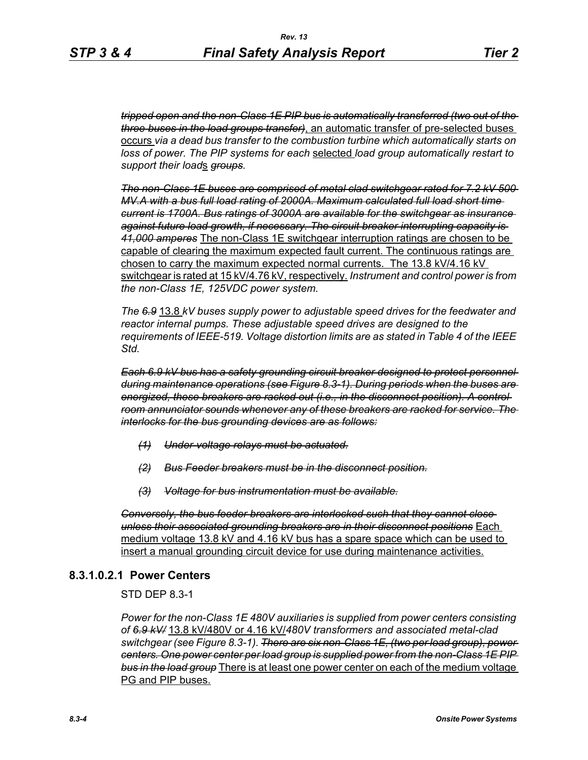*tripped open and the non-Class 1E PIP bus is automatically transferred (two out of the three buses in the load groups transfer)*, an automatic transfer of pre-selected buses occurs *via a dead bus transfer to the combustion turbine which automatically starts on loss of power. The PIP systems for each* selected *load group automatically restart to support their load*s *groups.*

*The non-Class 1E buses are comprised of metal clad switchgear rated for 7.2 kV 500 MV.A with a bus full load rating of 2000A. Maximum calculated full load short time current is 1700A. Bus ratings of 3000A are available for the switchgear as insurance against future load growth, if necessary. The circuit breaker interrupting capacity is 41,000 amperes* The non-Class 1E switchgear interruption ratings are chosen to be capable of clearing the maximum expected fault current. The continuous ratings are chosen to carry the maximum expected normal currents. The 13.8 kV/4.16 kV switchgear is rated at 15 kV/4.76 kV, respectively. *Instrument and control power is from the non-Class 1E, 125VDC power system.*

*The 6.9* 13.8 *kV buses supply power to adjustable speed drives for the feedwater and reactor internal pumps. These adjustable speed drives are designed to the requirements of IEEE-519. Voltage distortion limits are as stated in Table 4 of the IEEE Std.*

*Each 6.9 kV bus has a safety grounding circuit breaker designed to protect personnel during maintenance operations (see Figure 8.3-1). During periods when the buses are energized, these breakers are racked out (i.e., in the disconnect position). A control room annunciator sounds whenever any of these breakers are racked for service. The interlocks for the bus grounding devices are as follows:*

- *(1) Under-voltage relays must be actuated.*
- *(2) Bus Feeder breakers must be in the disconnect position.*
- *(3) Voltage for bus instrumentation must be available.*

*Conversely, the bus feeder breakers are interlocked such that they cannot close unless their associated grounding breakers are in their disconnect positions* Each medium voltage 13.8 kV and 4.16 kV bus has a spare space which can be used to insert a manual grounding circuit device for use during maintenance activities.

# **8.3.1.0.2.1 Power Centers**

STD DEP 8.3-1

*Power for the non-Class 1E 480V auxiliaries is supplied from power centers consisting of 6.9 kV/* 13.8 kV/480V or 4.16 kV/*480V transformers and associated metal-clad switchgear (see Figure 8.3-1). There are six non-Class 1E, (two per load group), power centers. One power center per load group is supplied power from the non-Class 1E PIP bus in the load group* There is at least one power center on each of the medium voltage PG and PIP buses.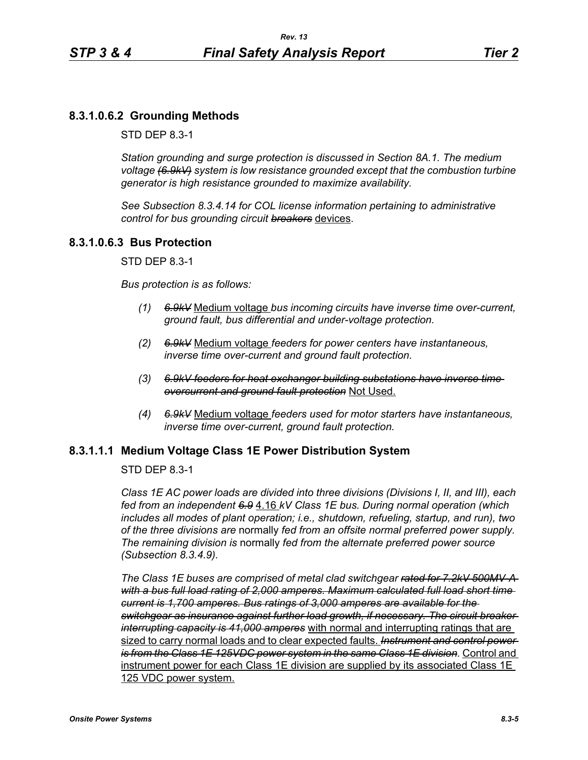# **8.3.1.0.6.2 Grounding Methods**

STD DEP 8.3-1

*Station grounding and surge protection is discussed in Section 8A.1. The medium voltage (6.9kV) system is low resistance grounded except that the combustion turbine generator is high resistance grounded to maximize availability.*

*See Subsection 8.3.4.14 for COL license information pertaining to administrative control for bus grounding circuit breakers* devices.

# **8.3.1.0.6.3 Bus Protection**

STD DEP 8.3-1

*Bus protection is as follows:*

- *(1) 6.9kV* Medium voltage *bus incoming circuits have inverse time over-current, ground fault, bus differential and under-voltage protection.*
- *(2) 6.9kV* Medium voltage *feeders for power centers have instantaneous, inverse time over-current and ground fault protection.*
- *(3) 6.9kV feeders for heat exchanger building substations have inverse time overcurrent and ground fault protection* Not Used.
- *(4) 6.9kV* Medium voltage *feeders used for motor starters have instantaneous, inverse time over-current, ground fault protection.*

## **8.3.1.1.1 Medium Voltage Class 1E Power Distribution System**

STD DEP 8.3-1

*Class 1E AC power loads are divided into three divisions (Divisions I, II, and III), each fed from an independent 6.9* 4.16 *kV Class 1E bus. During normal operation (which includes all modes of plant operation; i.e., shutdown, refueling, startup, and run), two of the three divisions are* normally *fed from an offsite normal preferred power supply. The remaining division is* normally *fed from the alternate preferred power source (Subsection 8.3.4.9).*

*The Class 1E buses are comprised of metal clad switchgear rated for 7.2kV 500MV-A with a bus full load rating of 2,000 amperes. Maximum calculated full load short time current is 1,700 amperes. Bus ratings of 3,000 amperes are available for the switchgear as insurance against further load growth, if necessary. The circuit breaker interrupting capacity is 41,000 amperes* with normal and interrupting ratings that are sized to carry normal loads and to clear expected faults. *Instrument and control power is from the Class 1E 125VDC power system in the same Class 1E division.* Control and instrument power for each Class 1E division are supplied by its associated Class 1E 125 VDC power system.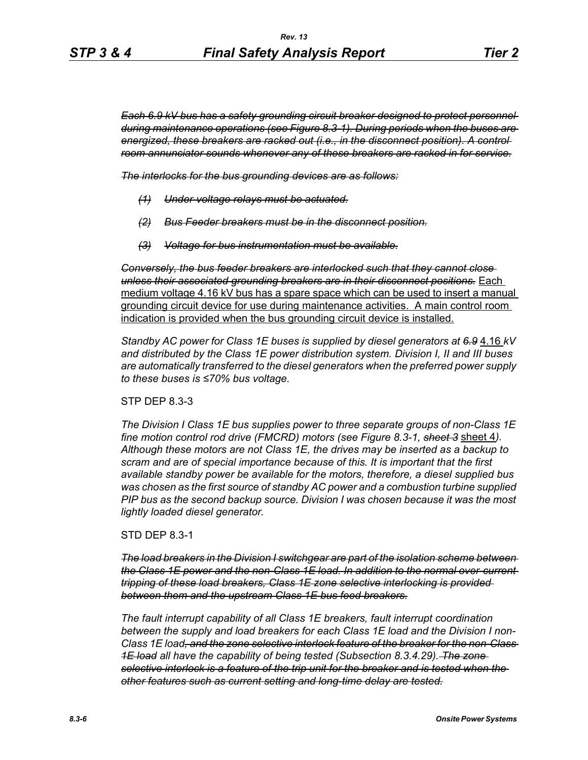*Each 6.9 kV bus has a safety grounding circuit breaker designed to protect personnel during maintenance operations (see Figure 8.3-1). During periods when the buses are energized, these breakers are racked out (i.e., in the disconnect position). A control room annunciator sounds whenever any of these breakers are racked in for service.*

*The interlocks for the bus grounding devices are as follows:*

- *(1) Under-voltage relays must be actuated.*
- *(2) Bus Feeder breakers must be in the disconnect position.*
- *(3) Voltage for bus instrumentation must be available.*

*Conversely, the bus feeder breakers are interlocked such that they cannot close unless their associated grounding breakers are in their disconnect positions.* Each medium voltage 4.16 kV bus has a spare space which can be used to insert a manual grounding circuit device for use during maintenance activities. A main control room indication is provided when the bus grounding circuit device is installed.

*Standby AC power for Class 1E buses is supplied by diesel generators at 6.9* 4.16 *kV and distributed by the Class 1E power distribution system. Division I, II and III buses are automatically transferred to the diesel generators when the preferred power supply to these buses is ≤70% bus voltage.*

#### STP DEP 8.3-3

*The Division I Class 1E bus supplies power to three separate groups of non-Class 1E fine motion control rod drive (FMCRD) motors (see Figure 8.3-1, sheet 3* sheet 4*). Although these motors are not Class 1E, the drives may be inserted as a backup to scram and are of special importance because of this. It is important that the first available standby power be available for the motors, therefore, a diesel supplied bus was chosen as the first source of standby AC power and a combustion turbine supplied PIP bus as the second backup source. Division I was chosen because it was the most lightly loaded diesel generator.*

STD DEP 8.3-1

*The load breakers in the Division I switchgear are part of the isolation scheme between the Class 1E power and the non-Class 1E load. In addition to the normal over-current tripping of these load breakers, Class 1E zone selective interlocking is provided between them and the upstream Class 1E bus feed breakers.*

*The fault interrupt capability of all Class 1E breakers, fault interrupt coordination between the supply and load breakers for each Class 1E load and the Division I non-Class 1E load, and the zone selective interlock feature of the breaker for the non-Class 1E load all have the capability of being tested (Subsection 8.3.4.29). The zone selective interlock is a feature of the trip unit for the breaker and is tested when the other features such as current setting and long-time delay are tested.*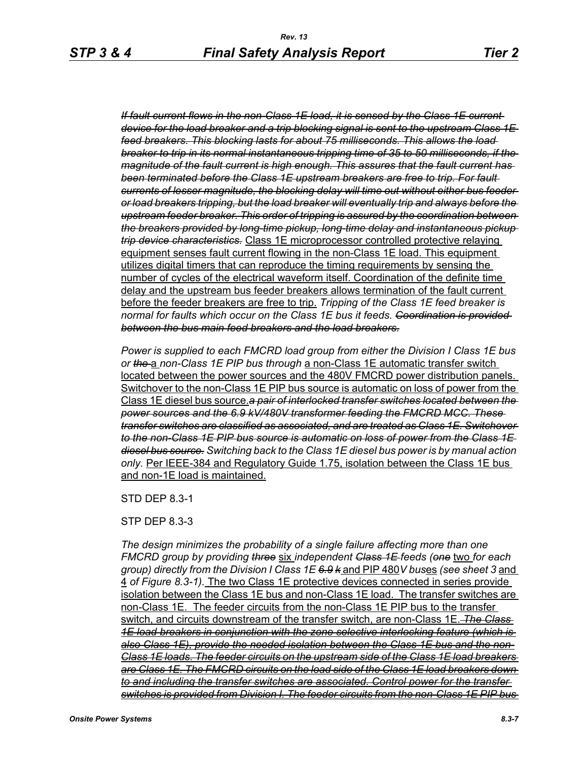*If fault current flows in the non-Class 1E load, it is sensed by the Class 1E current device for the load breaker and a trip blocking signal is sent to the upstream Class 1E feed breakers. This blocking lasts for about 75 milliseconds. This allows the load breaker to trip in its normal instantaneous tripping time of 35 to 50 milliseconds, if the magnitude of the fault current is high enough. This assures that the fault current has been terminated before the Class 1E upstream breakers are free to trip. For fault currents of lesser magnitude, the blocking delay will time out without either bus feeder or load breakers tripping, but the load breaker will eventually trip and always before the upstream feeder breaker. This order of tripping is assured by the coordination between the breakers provided by long-time pickup, long-time delay and instantaneous pickup trip device characteristics.* Class 1E microprocessor controlled protective relaying equipment senses fault current flowing in the non-Class 1E load. This equipment utilizes digital timers that can reproduce the timing requirements by sensing the number of cycles of the electrical waveform itself. Coordination of the definite time delay and the upstream bus feeder breakers allows termination of the fault current before the feeder breakers are free to trip. *Tripping of the Class 1E feed breaker is normal for faults which occur on the Class 1E bus it feeds. Coordination is provided between the bus main feed breakers and the load breakers.*

*Power is supplied to each FMCRD load group from either the Division I Class 1E bus or the* a *non-Class 1E PIP bus through* a non-Class 1E automatic transfer switch located between the power sources and the 480V FMCRD power distribution panels. Switchover to the non-Class 1E PIP bus source is automatic on loss of power from the Class 1E diesel bus source.*a pair of interlocked transfer switches located between the power sources and the 6.9 kV/480V transformer feeding the FMCRD MCC. These transfer switches are classified as associated, and are treated as Class 1E. Switchover to the non-Class 1E PIP bus source is automatic on loss of power from the Class 1E diesel bus source. Switching back to the Class 1E diesel bus power is by manual action only.* Per IEEE-384 and Regulatory Guide 1.75, isolation between the Class 1E bus and non-1E load is maintained.

STD DEP 8.3-1

STP DEP 8.3-3

*The design minimizes the probability of a single failure affecting more than one FMCRD group by providing three* six *independent Class 1E feeds (one* two *for each group) directly from the Division I Class 1E 6.9 k* and PIP 480*V bus*es *(see sheet 3* and 4 *of Figure 8.3-1).* The two Class 1E protective devices connected in series provide isolation between the Class 1E bus and non-Class 1E load. The transfer switches are non-Class 1E. The feeder circuits from the non-Class 1E PIP bus to the transfer switch, and circuits downstream of the transfer switch, are non-Class 1E. *The Class 1E load breakers in conjunction with the zone selective interlocking feature (which is also Class 1E), provide the needed isolation between the Class 1E bus and the non-Class 1E loads. The feeder circuits on the upstream side of the Class 1E load breakers are Class 1E. The FMCRD circuits on the load side of the Class 1E load breakers down to and including the transfer switches are associated. Control power for the transfer switches is provided from Division I. The feeder circuits from the non-Class 1E PIP bus*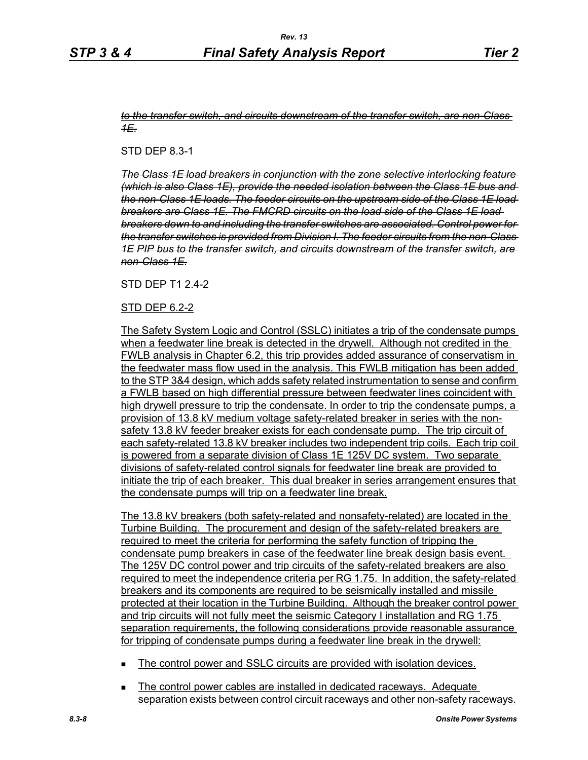#### *to the transfer switch, and circuits downstream of the transfer switch, are non-Class 1E.*

STD DEP 8.3-1

*The Class 1E load breakers in conjunction with the zone selective interlocking feature (which is also Class 1E), provide the needed isolation between the Class 1E bus and the non-Class 1E loads. The feeder circuits on the upstream side of the Class 1E load breakers are Class 1E. The FMCRD circuits on the load side of the Class 1E load breakers down to and including the transfer switches are associated. Control power for the transfer switches is provided from Division I. The feeder circuits from the non-Class 1E PIP bus to the transfer switch, and circuits downstream of the transfer switch, are non-Class 1E.*

#### STD DFP T1 2 4-2

## STD DEP 6.2-2

The Safety System Logic and Control (SSLC) initiates a trip of the condensate pumps when a feedwater line break is detected in the drywell. Although not credited in the FWLB analysis in Chapter 6.2, this trip provides added assurance of conservatism in the feedwater mass flow used in the analysis. This FWLB mitigation has been added to the STP 3&4 design, which adds safety related instrumentation to sense and confirm a FWLB based on high differential pressure between feedwater lines coincident with high drywell pressure to trip the condensate. In order to trip the condensate pumps, a provision of 13.8 kV medium voltage safety-related breaker in series with the nonsafety 13.8 kV feeder breaker exists for each condensate pump. The trip circuit of each safety-related 13.8 kV breaker includes two independent trip coils. Each trip coil is powered from a separate division of Class 1E 125V DC system. Two separate divisions of safety-related control signals for feedwater line break are provided to initiate the trip of each breaker. This dual breaker in series arrangement ensures that the condensate pumps will trip on a feedwater line break.

The 13.8 kV breakers (both safety-related and nonsafety-related) are located in the Turbine Building. The procurement and design of the safety-related breakers are required to meet the criteria for performing the safety function of tripping the condensate pump breakers in case of the feedwater line break design basis event. The 125V DC control power and trip circuits of the safety-related breakers are also required to meet the independence criteria per RG 1.75. In addition, the safety-related breakers and its components are required to be seismically installed and missile protected at their location in the Turbine Building. Although the breaker control power and trip circuits will not fully meet the seismic Category I installation and RG 1.75 separation requirements, the following considerations provide reasonable assurance for tripping of condensate pumps during a feedwater line break in the drywell:

- The control power and SSLC circuits are provided with isolation devices.
- **The control power cables are installed in dedicated raceways. Adequate** separation exists between control circuit raceways and other non-safety raceways.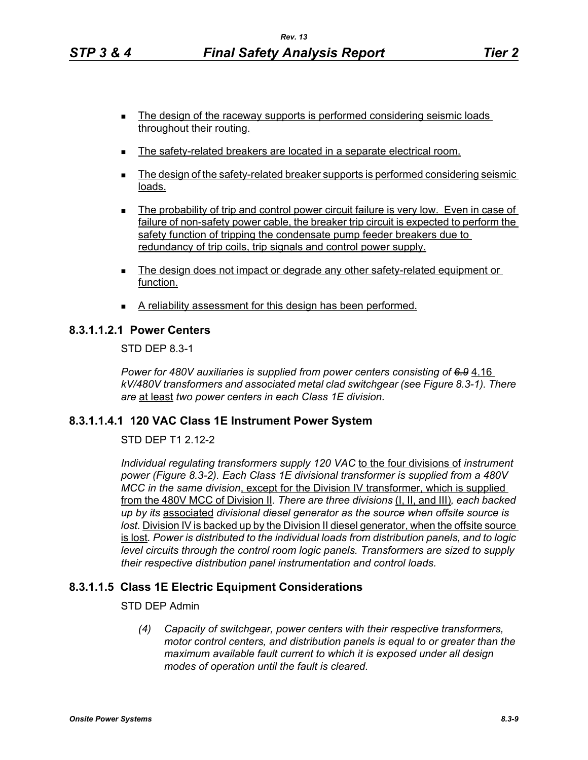- The design of the raceway supports is performed considering seismic loads throughout their routing.
- The safety-related breakers are located in a separate electrical room.
- The design of the safety-related breaker supports is performed considering seismic loads.
- **The probability of trip and control power circuit failure is very low. Even in case of** failure of non-safety power cable, the breaker trip circuit is expected to perform the safety function of tripping the condensate pump feeder breakers due to redundancy of trip coils, trip signals and control power supply.
- The design does not impact or degrade any other safety-related equipment or function.
- A reliability assessment for this design has been performed.

## **8.3.1.1.2.1 Power Centers**

STD DEP 8.3-1

*Power for 480V auxiliaries is supplied from power centers consisting of 6.9* 4.16 *kV/480V transformers and associated metal clad switchgear (see Figure 8.3-1). There are* at least *two power centers in each Class 1E division.*

## **8.3.1.1.4.1 120 VAC Class 1E Instrument Power System**

STD DEP T1 2.12-2

*Individual regulating transformers supply 120 VAC* to the four divisions of *instrument power (Figure 8.3-2). Each Class 1E divisional transformer is supplied from a 480V MCC in the same division*, except for the Division IV transformer, which is supplied from the 480V MCC of Division II*. There are three divisions* (I, II, and III)*, each backed up by its* associated *divisional diesel generator as the source when offsite source is lost.* Division IV is backed up by the Division II diesel generator, when the offsite source is lost*. Power is distributed to the individual loads from distribution panels, and to logic level circuits through the control room logic panels. Transformers are sized to supply their respective distribution panel instrumentation and control loads.*

## **8.3.1.1.5 Class 1E Electric Equipment Considerations**

STD DEP Admin

*(4) Capacity of switchgear, power centers with their respective transformers, motor control centers, and distribution panels is equal to or greater than the maximum available fault current to which it is exposed under all design modes of operation until the fault is cleared.*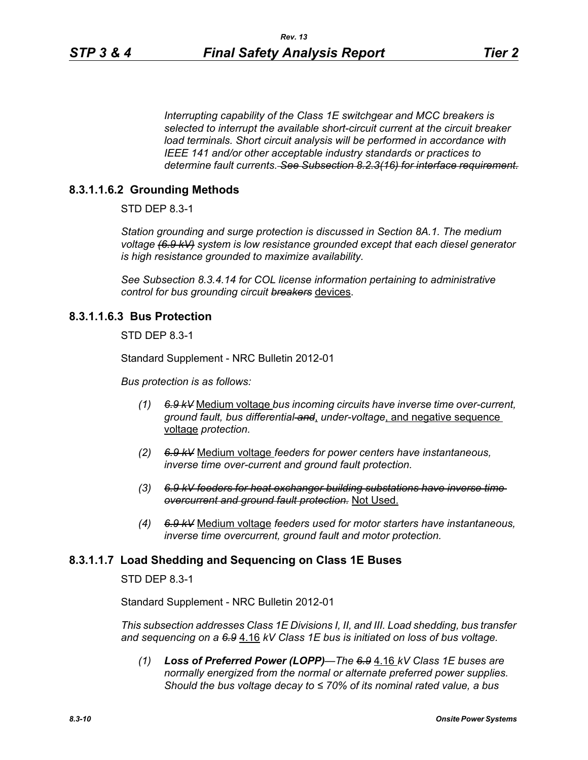*Interrupting capability of the Class 1E switchgear and MCC breakers is selected to interrupt the available short-circuit current at the circuit breaker load terminals. Short circuit analysis will be performed in accordance with IEEE 141 and/or other acceptable industry standards or practices to determine fault currents. See Subsection 8.2.3(16) for interface requirement.*

# **8.3.1.1.6.2 Grounding Methods**

STD DEP 8.3-1

*Station grounding and surge protection is discussed in Section 8A.1. The medium voltage (6.9 kV) system is low resistance grounded except that each diesel generator is high resistance grounded to maximize availability.*

*See Subsection 8.3.4.14 for COL license information pertaining to administrative control for bus grounding circuit breakers* devices.

#### **8.3.1.1.6.3 Bus Protection**

STD DEP 8.3-1

Standard Supplement - NRC Bulletin 2012-01

*Bus protection is as follows:*

- *(1) 6.9 kV* Medium voltage *bus incoming circuits have inverse time over-current, ground fault, bus differential and*, *under-voltage*, and negative sequence voltage *protection.*
- *(2) 6.9 kV* Medium voltage *feeders for power centers have instantaneous, inverse time over-current and ground fault protection.*
- *(3) 6.9 kV feeders for heat exchanger building substations have inverse time overcurrent and ground fault protection.* Not Used.
- *(4) 6.9 kV* Medium voltage *feeders used for motor starters have instantaneous, inverse time overcurrent, ground fault and motor protection.*

## **8.3.1.1.7 Load Shedding and Sequencing on Class 1E Buses**

STD DEP 8.3-1

Standard Supplement - NRC Bulletin 2012-01

*This subsection addresses Class 1E Divisions I, II, and III. Load shedding, bus transfer and sequencing on a 6.9* 4.16 *kV Class 1E bus is initiated on loss of bus voltage.*

*(1) Loss of Preferred Power (LOPP)—The 6.9* 4.16 *kV Class 1E buses are normally energized from the normal or alternate preferred power supplies. Should the bus voltage decay to ≤ 70% of its nominal rated value, a bus*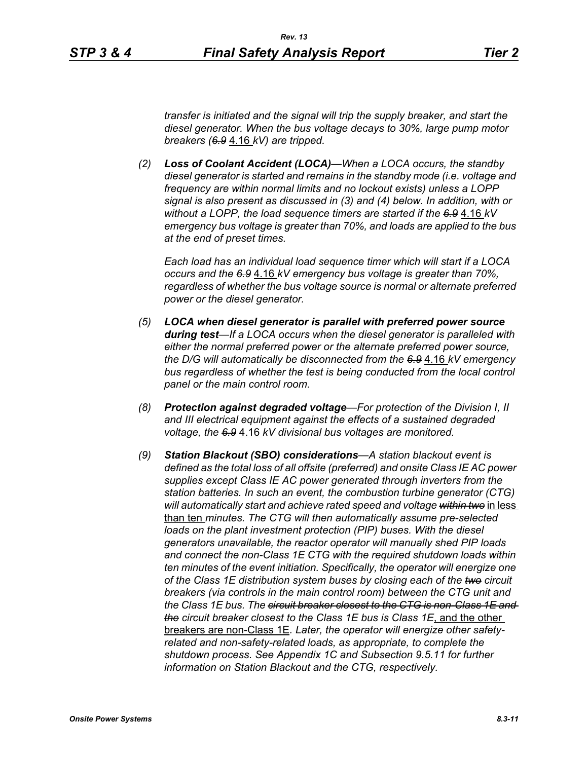*transfer is initiated and the signal will trip the supply breaker, and start the diesel generator. When the bus voltage decays to 30%, large pump motor breakers (6.9* 4.16 *kV) are tripped.*

*(2) Loss of Coolant Accident (LOCA)—When a LOCA occurs, the standby diesel generator is started and remains in the standby mode (i.e. voltage and frequency are within normal limits and no lockout exists) unless a LOPP signal is also present as discussed in (3) and (4) below. In addition, with or without a LOPP, the load sequence timers are started if the 6.9* 4.16 *kV emergency bus voltage is greater than 70%, and loads are applied to the bus at the end of preset times.*

*Each load has an individual load sequence timer which will start if a LOCA occurs and the 6.9* 4.16 *kV emergency bus voltage is greater than 70%, regardless of whether the bus voltage source is normal or alternate preferred power or the diesel generator.*

- *(5) LOCA when diesel generator is parallel with preferred power source during test—If a LOCA occurs when the diesel generator is paralleled with either the normal preferred power or the alternate preferred power source, the D/G will automatically be disconnected from the 6.9* 4.16 *kV emergency*  bus regardless of whether the test is being conducted from the local control *panel or the main control room.*
- *(8) Protection against degraded voltage—For protection of the Division I, II and III electrical equipment against the effects of a sustained degraded voltage, the 6.9* 4.16 *kV divisional bus voltages are monitored.*
- *(9) Station Blackout (SBO) considerations—A station blackout event is defined as the total loss of all offsite (preferred) and onsite Class IE AC power supplies except Class IE AC power generated through inverters from the station batteries. In such an event, the combustion turbine generator (CTG) will automatically start and achieve rated speed and voltage within two* in less than ten *minutes. The CTG will then automatically assume pre-selected loads on the plant investment protection (PIP) buses. With the diesel generators unavailable, the reactor operator will manually shed PIP loads and connect the non-Class 1E CTG with the required shutdown loads within ten minutes of the event initiation. Specifically, the operator will energize one of the Class 1E distribution system buses by closing each of the two circuit breakers (via controls in the main control room) between the CTG unit and the Class 1E bus. The circuit breaker closest to the CTG is non-Class 1E and the circuit breaker closest to the Class 1E bus is Class 1E*, and the other breakers are non-Class 1E*. Later, the operator will energize other safetyrelated and non-safety-related loads, as appropriate, to complete the shutdown process. See Appendix 1C and Subsection 9.5.11 for further information on Station Blackout and the CTG, respectively.*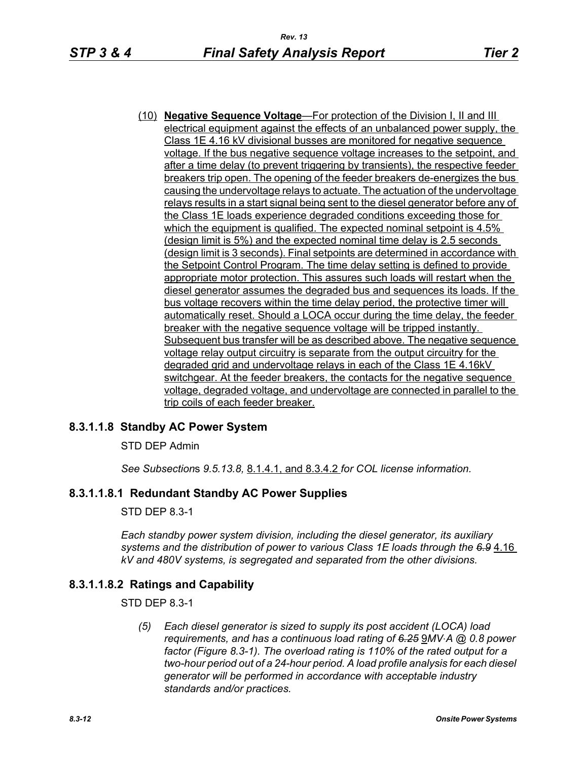(10) **Negative Sequence Voltage**—For protection of the Division I, II and III electrical equipment against the effects of an unbalanced power supply, the Class 1E 4.16 kV divisional busses are monitored for negative sequence voltage. If the bus negative sequence voltage increases to the setpoint, and after a time delay (to prevent triggering by transients), the respective feeder breakers trip open. The opening of the feeder breakers de-energizes the bus causing the undervoltage relays to actuate. The actuation of the undervoltage relays results in a start signal being sent to the diesel generator before any of the Class 1E loads experience degraded conditions exceeding those for which the equipment is qualified. The expected nominal setpoint is 4.5% (design limit is 5%) and the expected nominal time delay is 2.5 seconds (design limit is 3 seconds). Final setpoints are determined in accordance with the Setpoint Control Program. The time delay setting is defined to provide appropriate motor protection. This assures such loads will restart when the diesel generator assumes the degraded bus and sequences its loads. If the bus voltage recovers within the time delay period, the protective timer will automatically reset. Should a LOCA occur during the time delay, the feeder breaker with the negative sequence voltage will be tripped instantly. Subsequent bus transfer will be as described above. The negative sequence voltage relay output circuitry is separate from the output circuitry for the degraded grid and undervoltage relays in each of the Class 1E 4.16kV switchgear. At the feeder breakers, the contacts for the negative sequence voltage, degraded voltage, and undervoltage are connected in parallel to the trip coils of each feeder breaker.

# **8.3.1.1.8 Standby AC Power System**

STD DEP Admin

*See Subsection*s *9.5.13.8,* 8.1.4.1, and 8.3.4.2 *for COL license information.*

## **8.3.1.1.8.1 Redundant Standby AC Power Supplies**

STD DEP 8.3-1

*Each standby power system division, including the diesel generator, its auxiliary systems and the distribution of power to various Class 1E loads through the 6.9* 4.16 *kV and 480V systems, is segregated and separated from the other divisions.*

## **8.3.1.1.8.2 Ratings and Capability**

STD DEP 8.3-1

*(5) Each diesel generator is sized to supply its post accident (LOCA) load requirements, and has a continuous load rating of <del>6.25</del> 9MV⋅A @ 0.8 power factor (Figure 8.3-1). The overload rating is 110% of the rated output for a two-hour period out of a 24-hour period. A load profile analysis for each diesel generator will be performed in accordance with acceptable industry standards and/or practices.*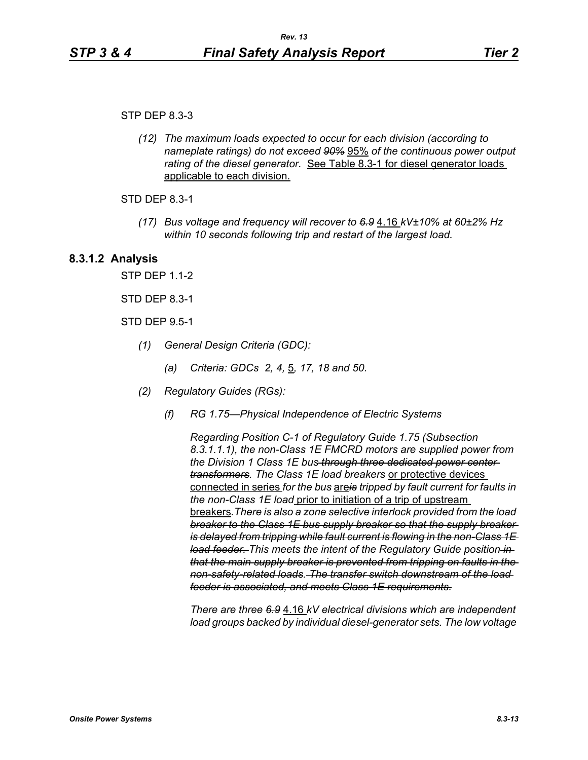STP DEP 8.3-3

*(12) The maximum loads expected to occur for each division (according to nameplate ratings) do not exceed 90%* 95% *of the continuous power output*  rating of the diesel generator. **See Table 8.3-1** for diesel generator loads applicable to each division.

STD DEP 8.3-1

*(17) Bus voltage and frequency will recover to 6.9* 4.16 *kV±10% at 60±2% Hz within 10 seconds following trip and restart of the largest load.*

## **8.3.1.2 Analysis**

STP DEP 1.1-2

STD DEP 8.3-1

STD DEP 9.5-1

- *(1) General Design Criteria (GDC):*
	- *(a) Criteria: GDCs 2, 4,* 5*, 17, 18 and 50.*
- *(2) Regulatory Guides (RGs):*
	- *(f) RG 1.75—Physical Independence of Electric Systems*

*Regarding Position C-1 of Regulatory Guide 1.75 (Subsection 8.3.1.1.1), the non-Class 1E FMCRD motors are supplied power from the Division 1 Class 1E bus through three dedicated power center transformers. The Class 1E load breakers* or protective devices connected in series *for the bus* are*is tripped by fault current for faults in the non-Class 1E load* prior to initiation of a trip of upstream breakers*.There is also a zone selective interlock provided from the load breaker to the Class 1E bus supply breaker so that the supply breaker is delayed from tripping while fault current is flowing in the non-Class 1E load feeder. This meets the intent of the Regulatory Guide position in that the main supply breaker is prevented from tripping on faults in the non-safety-related loads. The transfer switch downstream of the load feeder is associated, and meets Class 1E requirements.*

*There are three 6.9* 4.16 *kV electrical divisions which are independent load groups backed by individual diesel-generator sets. The low voltage*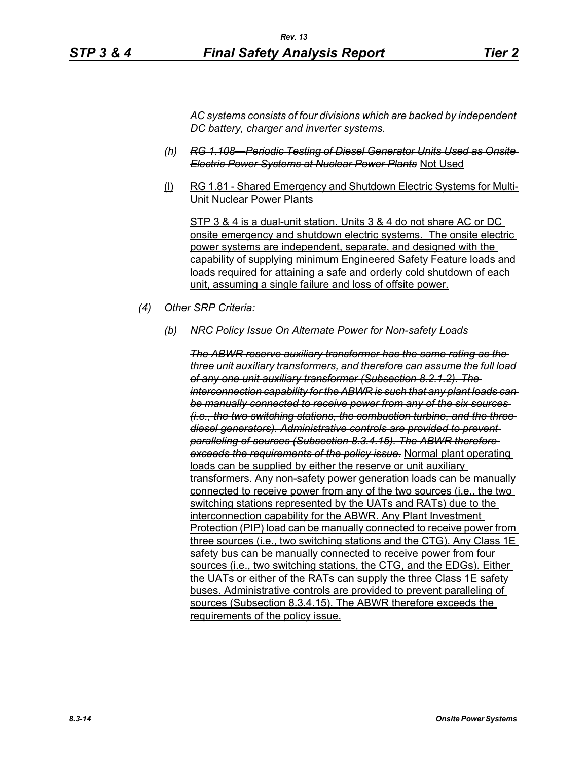*AC systems consists of four divisions which are backed by independent DC battery, charger and inverter systems.*

- *(h) RG 1.108—Periodic Testing of Diesel Generator Units Used as Onsite Electric Power Systems at Nuclear Power Plants* Not Used
- (l) RG 1.81 Shared Emergency and Shutdown Electric Systems for Multi-Unit Nuclear Power Plants

STP 3 & 4 is a dual-unit station. Units 3 & 4 do not share AC or DC onsite emergency and shutdown electric systems. The onsite electric power systems are independent, separate, and designed with the capability of supplying minimum Engineered Safety Feature loads and loads required for attaining a safe and orderly cold shutdown of each unit, assuming a single failure and loss of offsite power.

- *(4) Other SRP Criteria:*
	- *(b) NRC Policy Issue On Alternate Power for Non-safety Loads*

*The ABWR reserve auxiliary transformer has the same rating as the three unit auxiliary transformers, and therefore can assume the full load of any one unit auxiliary transformer (Subsection 8.2.1.2). The interconnection capability for the ABWR is such that any plant loads can be manually connected to receive power from any of the six sources (i.e., the two switching stations, the combustion turbine, and the three diesel generators). Administrative controls are provided to prevent paralleling of sources (Subsection 8.3.4.15). The ABWR therefore exceeds the requirements of the policy issue.* Normal plant operating loads can be supplied by either the reserve or unit auxiliary transformers. Any non-safety power generation loads can be manually connected to receive power from any of the two sources (i.e., the two switching stations represented by the UATs and RATs) due to the interconnection capability for the ABWR. Any Plant Investment Protection (PIP) load can be manually connected to receive power from three sources (i.e., two switching stations and the CTG). Any Class 1E safety bus can be manually connected to receive power from four sources (i.e., two switching stations, the CTG, and the EDGs). Either the UATs or either of the RATs can supply the three Class 1E safety buses. Administrative controls are provided to prevent paralleling of sources (Subsection 8.3.4.15). The ABWR therefore exceeds the requirements of the policy issue.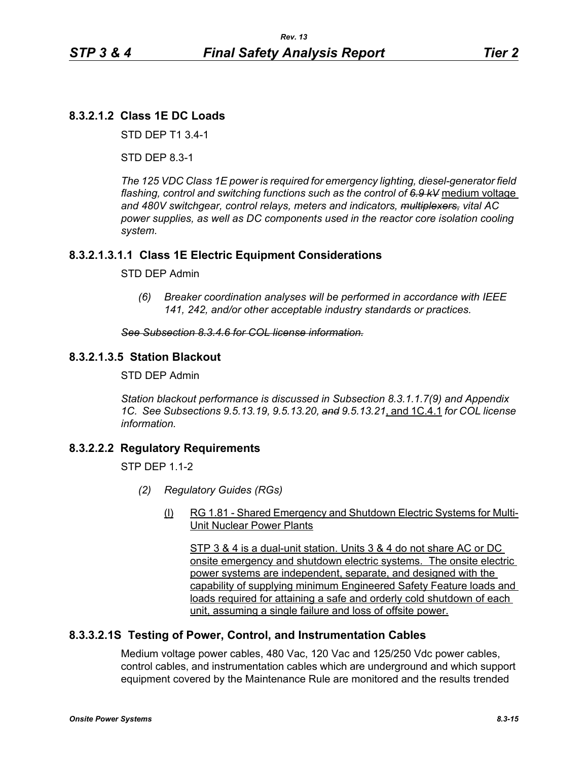# **8.3.2.1.2 Class 1E DC Loads**

STD DEP T1 3.4-1

STD DEP 8.3-1

*The 125 VDC Class 1E power is required for emergency lighting, diesel-generator field flashing, control and switching functions such as the control of 6.9 kV* medium voltage *and 480V switchgear, control relays, meters and indicators, multiplexers, vital AC power supplies, as well as DC components used in the reactor core isolation cooling system.*

# **8.3.2.1.3.1.1 Class 1E Electric Equipment Considerations**

#### STD DEP Admin

*(6) Breaker coordination analyses will be performed in accordance with IEEE 141, 242, and/or other acceptable industry standards or practices.*

#### *See Subsection 8.3.4.6 for COL license information.*

## **8.3.2.1.3.5 Station Blackout**

STD DEP Admin

*Station blackout performance is discussed in Subsection 8.3.1.1.7(9) and Appendix 1C. See Subsections 9.5.13.19, 9.5.13.20, and 9.5.13.21*, and 1C.4.1 *for COL license information.*

## **8.3.2.2.2 Regulatory Requirements**

 $STP$  DFP 11-2

- *(2) Regulatory Guides (RGs)*
	- (l) RG 1.81 Shared Emergency and Shutdown Electric Systems for Multi-Unit Nuclear Power Plants

STP 3 & 4 is a dual-unit station. Units 3 & 4 do not share AC or DC onsite emergency and shutdown electric systems. The onsite electric power systems are independent, separate, and designed with the capability of supplying minimum Engineered Safety Feature loads and loads required for attaining a safe and orderly cold shutdown of each unit, assuming a single failure and loss of offsite power.

## **8.3.3.2.1S Testing of Power, Control, and Instrumentation Cables**

Medium voltage power cables, 480 Vac, 120 Vac and 125/250 Vdc power cables, control cables, and instrumentation cables which are underground and which support equipment covered by the Maintenance Rule are monitored and the results trended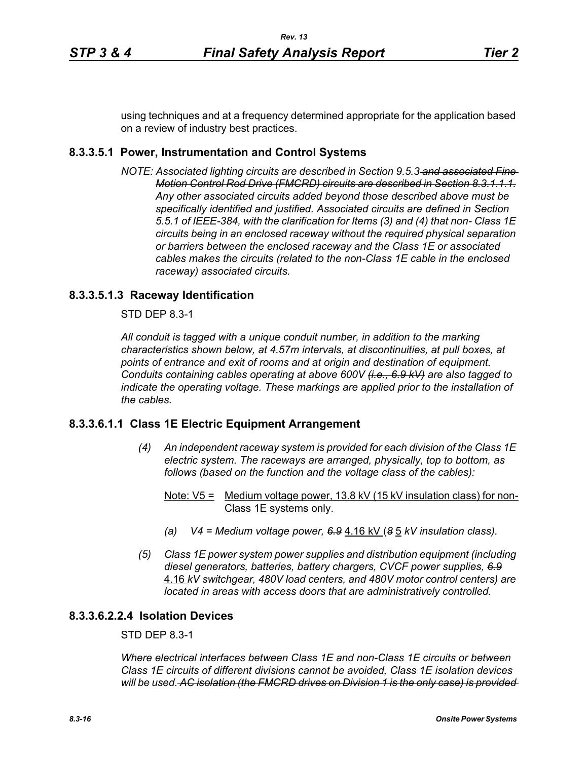using techniques and at a frequency determined appropriate for the application based on a review of industry best practices.

# **8.3.3.5.1 Power, Instrumentation and Control Systems**

*NOTE: Associated lighting circuits are described in Section 9.5.3 and associated Fine Motion Control Rod Drive (FMCRD) circuits are described in Section 8.3.1.1.1. Any other associated circuits added beyond those described above must be specifically identified and justified. Associated circuits are defined in Section 5.5.1 of IEEE-384, with the clarification for Items (3) and (4) that non- Class 1E circuits being in an enclosed raceway without the required physical separation or barriers between the enclosed raceway and the Class 1E or associated cables makes the circuits (related to the non-Class 1E cable in the enclosed raceway) associated circuits.*

# **8.3.3.5.1.3 Raceway Identification**

STD DEP 8.3-1

*All conduit is tagged with a unique conduit number, in addition to the marking characteristics shown below, at 4.57m intervals, at discontinuities, at pull boxes, at points of entrance and exit of rooms and at origin and destination of equipment. Conduits containing cables operating at above 600V (i.e., 6.9 kV) are also tagged to indicate the operating voltage. These markings are applied prior to the installation of the cables.*

# **8.3.3.6.1.1 Class 1E Electric Equipment Arrangement**

- *(4) An independent raceway system is provided for each division of the Class 1E electric system. The raceways are arranged, physically, top to bottom, as follows (based on the function and the voltage class of the cables):*
	- Note:  $V5 =$  Medium voltage power, 13.8 kV (15 kV insulation class) for non-Class 1E systems only.
	- *(a) V4 = Medium voltage power, 6.9* 4.16 kV (*8* 5 *kV insulation class).*
- *(5) Class 1E power system power supplies and distribution equipment (including diesel generators, batteries, battery chargers, CVCF power supplies, 6.9* 4.16 *kV switchgear, 480V load centers, and 480V motor control centers) are located in areas with access doors that are administratively controlled.*

## **8.3.3.6.2.2.4 Isolation Devices**

STD DEP 8.3-1

*Where electrical interfaces between Class 1E and non-Class 1E circuits or between Class 1E circuits of different divisions cannot be avoided, Class 1E isolation devices will be used. AC isolation (the FMCRD drives on Division 1 is the only case) is provided*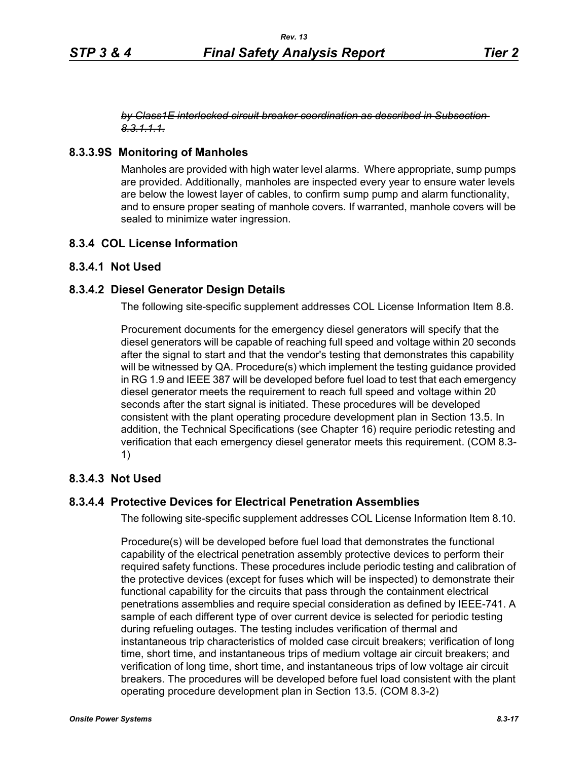#### *by Class1E interlocked circuit breaker coordination as described in Subsection 8.3.1.1.1.*

# **8.3.3.9S Monitoring of Manholes**

Manholes are provided with high water level alarms. Where appropriate, sump pumps are provided. Additionally, manholes are inspected every year to ensure water levels are below the lowest layer of cables, to confirm sump pump and alarm functionality, and to ensure proper seating of manhole covers. If warranted, manhole covers will be sealed to minimize water ingression.

# **8.3.4 COL License Information**

# **8.3.4.1 Not Used**

# **8.3.4.2 Diesel Generator Design Details**

The following site-specific supplement addresses COL License Information Item 8.8.

Procurement documents for the emergency diesel generators will specify that the diesel generators will be capable of reaching full speed and voltage within 20 seconds after the signal to start and that the vendor's testing that demonstrates this capability will be witnessed by QA. Procedure(s) which implement the testing guidance provided in RG 1.9 and IEEE 387 will be developed before fuel load to test that each emergency diesel generator meets the requirement to reach full speed and voltage within 20 seconds after the start signal is initiated. These procedures will be developed consistent with the plant operating procedure development plan in Section 13.5. In addition, the Technical Specifications (see Chapter 16) require periodic retesting and verification that each emergency diesel generator meets this requirement. (COM 8.3- 1)

# **8.3.4.3 Not Used**

# **8.3.4.4 Protective Devices for Electrical Penetration Assemblies**

The following site-specific supplement addresses COL License Information Item 8.10.

Procedure(s) will be developed before fuel load that demonstrates the functional capability of the electrical penetration assembly protective devices to perform their required safety functions. These procedures include periodic testing and calibration of the protective devices (except for fuses which will be inspected) to demonstrate their functional capability for the circuits that pass through the containment electrical penetrations assemblies and require special consideration as defined by IEEE-741. A sample of each different type of over current device is selected for periodic testing during refueling outages. The testing includes verification of thermal and instantaneous trip characteristics of molded case circuit breakers; verification of long time, short time, and instantaneous trips of medium voltage air circuit breakers; and verification of long time, short time, and instantaneous trips of low voltage air circuit breakers. The procedures will be developed before fuel load consistent with the plant operating procedure development plan in Section 13.5. (COM 8.3-2)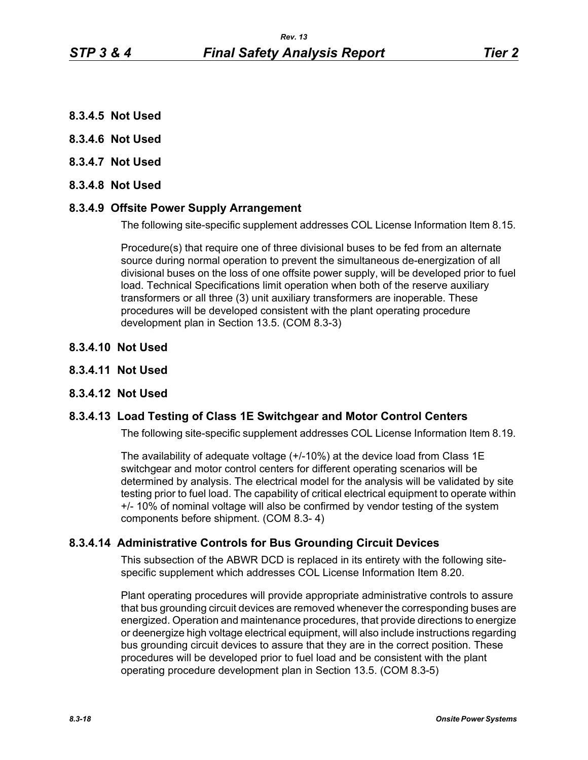- **8.3.4.5 Not Used**
- **8.3.4.6 Not Used**
- **8.3.4.7 Not Used**
- **8.3.4.8 Not Used**

## **8.3.4.9 Offsite Power Supply Arrangement**

The following site-specific supplement addresses COL License Information Item 8.15.

Procedure(s) that require one of three divisional buses to be fed from an alternate source during normal operation to prevent the simultaneous de-energization of all divisional buses on the loss of one offsite power supply, will be developed prior to fuel load. Technical Specifications limit operation when both of the reserve auxiliary transformers or all three (3) unit auxiliary transformers are inoperable. These procedures will be developed consistent with the plant operating procedure development plan in Section 13.5. (COM 8.3-3)

- **8.3.4.10 Not Used**
- **8.3.4.11 Not Used**

#### **8.3.4.12 Not Used**

## **8.3.4.13 Load Testing of Class 1E Switchgear and Motor Control Centers**

The following site-specific supplement addresses COL License Information Item 8.19.

The availability of adequate voltage (+/-10%) at the device load from Class 1E switchgear and motor control centers for different operating scenarios will be determined by analysis. The electrical model for the analysis will be validated by site testing prior to fuel load. The capability of critical electrical equipment to operate within +/- 10% of nominal voltage will also be confirmed by vendor testing of the system components before shipment. (COM 8.3- 4)

## **8.3.4.14 Administrative Controls for Bus Grounding Circuit Devices**

This subsection of the ABWR DCD is replaced in its entirety with the following sitespecific supplement which addresses COL License Information Item 8.20.

Plant operating procedures will provide appropriate administrative controls to assure that bus grounding circuit devices are removed whenever the corresponding buses are energized. Operation and maintenance procedures, that provide directions to energize or deenergize high voltage electrical equipment, will also include instructions regarding bus grounding circuit devices to assure that they are in the correct position. These procedures will be developed prior to fuel load and be consistent with the plant operating procedure development plan in Section 13.5. (COM 8.3-5)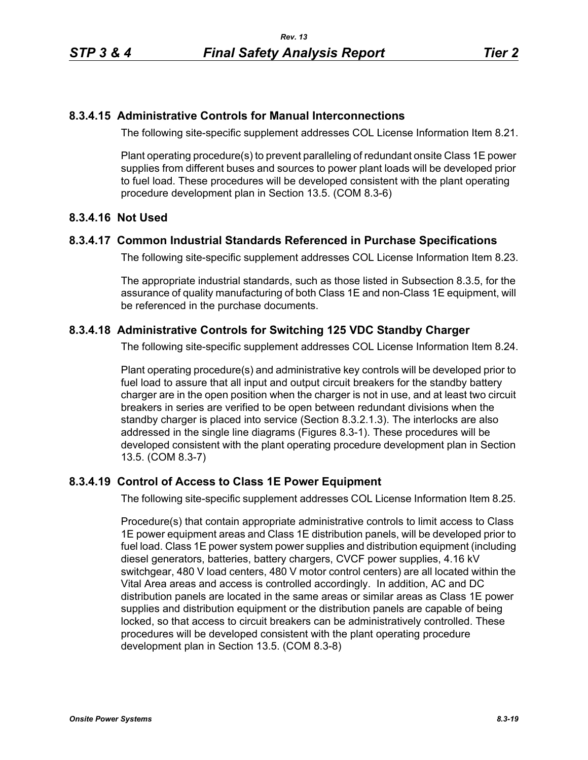## **8.3.4.15 Administrative Controls for Manual Interconnections**

The following site-specific supplement addresses COL License Information Item 8.21.

Plant operating procedure(s) to prevent paralleling of redundant onsite Class 1E power supplies from different buses and sources to power plant loads will be developed prior to fuel load. These procedures will be developed consistent with the plant operating procedure development plan in Section 13.5. (COM 8.3-6)

# **8.3.4.16 Not Used**

## **8.3.4.17 Common Industrial Standards Referenced in Purchase Specifications**

The following site-specific supplement addresses COL License Information Item 8.23.

The appropriate industrial standards, such as those listed in Subsection 8.3.5, for the assurance of quality manufacturing of both Class 1E and non-Class 1E equipment, will be referenced in the purchase documents.

# **8.3.4.18 Administrative Controls for Switching 125 VDC Standby Charger**

The following site-specific supplement addresses COL License Information Item 8.24.

Plant operating procedure(s) and administrative key controls will be developed prior to fuel load to assure that all input and output circuit breakers for the standby battery charger are in the open position when the charger is not in use, and at least two circuit breakers in series are verified to be open between redundant divisions when the standby charger is placed into service (Section 8.3.2.1.3). The interlocks are also addressed in the single line diagrams (Figures 8.3-1). These procedures will be developed consistent with the plant operating procedure development plan in Section 13.5. (COM 8.3-7)

# **8.3.4.19 Control of Access to Class 1E Power Equipment**

The following site-specific supplement addresses COL License Information Item 8.25.

Procedure(s) that contain appropriate administrative controls to limit access to Class 1E power equipment areas and Class 1E distribution panels, will be developed prior to fuel load. Class 1E power system power supplies and distribution equipment (including diesel generators, batteries, battery chargers, CVCF power supplies, 4.16 kV switchgear, 480 V load centers, 480 V motor control centers) are all located within the Vital Area areas and access is controlled accordingly. In addition, AC and DC distribution panels are located in the same areas or similar areas as Class 1E power supplies and distribution equipment or the distribution panels are capable of being locked, so that access to circuit breakers can be administratively controlled. These procedures will be developed consistent with the plant operating procedure development plan in Section 13.5. (COM 8.3-8)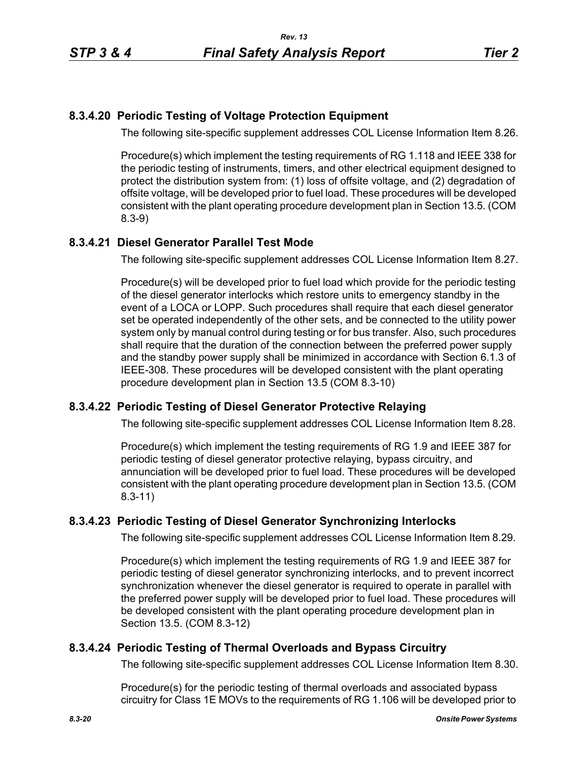# **8.3.4.20 Periodic Testing of Voltage Protection Equipment**

The following site-specific supplement addresses COL License Information Item 8.26.

Procedure(s) which implement the testing requirements of RG 1.118 and IEEE 338 for the periodic testing of instruments, timers, and other electrical equipment designed to protect the distribution system from: (1) loss of offsite voltage, and (2) degradation of offsite voltage, will be developed prior to fuel load. These procedures will be developed consistent with the plant operating procedure development plan in Section 13.5. (COM 8.3-9)

# **8.3.4.21 Diesel Generator Parallel Test Mode**

The following site-specific supplement addresses COL License Information Item 8.27.

Procedure(s) will be developed prior to fuel load which provide for the periodic testing of the diesel generator interlocks which restore units to emergency standby in the event of a LOCA or LOPP. Such procedures shall require that each diesel generator set be operated independently of the other sets, and be connected to the utility power system only by manual control during testing or for bus transfer. Also, such procedures shall require that the duration of the connection between the preferred power supply and the standby power supply shall be minimized in accordance with Section 6.1.3 of IEEE-308. These procedures will be developed consistent with the plant operating procedure development plan in Section 13.5 (COM 8.3-10)

# **8.3.4.22 Periodic Testing of Diesel Generator Protective Relaying**

The following site-specific supplement addresses COL License Information Item 8.28.

Procedure(s) which implement the testing requirements of RG 1.9 and IEEE 387 for periodic testing of diesel generator protective relaying, bypass circuitry, and annunciation will be developed prior to fuel load. These procedures will be developed consistent with the plant operating procedure development plan in Section 13.5. (COM 8.3-11)

# **8.3.4.23 Periodic Testing of Diesel Generator Synchronizing Interlocks**

The following site-specific supplement addresses COL License Information Item 8.29.

Procedure(s) which implement the testing requirements of RG 1.9 and IEEE 387 for periodic testing of diesel generator synchronizing interlocks, and to prevent incorrect synchronization whenever the diesel generator is required to operate in parallel with the preferred power supply will be developed prior to fuel load. These procedures will be developed consistent with the plant operating procedure development plan in Section 13.5. (COM 8.3-12)

# **8.3.4.24 Periodic Testing of Thermal Overloads and Bypass Circuitry**

The following site-specific supplement addresses COL License Information Item 8.30.

Procedure(s) for the periodic testing of thermal overloads and associated bypass circuitry for Class 1E MOVs to the requirements of RG 1.106 will be developed prior to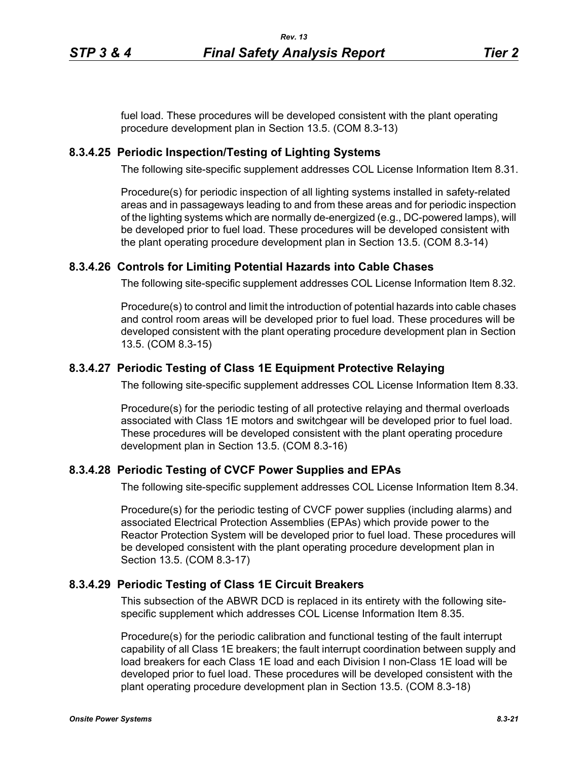fuel load. These procedures will be developed consistent with the plant operating procedure development plan in Section 13.5. (COM 8.3-13)

# **8.3.4.25 Periodic Inspection/Testing of Lighting Systems**

The following site-specific supplement addresses COL License Information Item 8.31.

Procedure(s) for periodic inspection of all lighting systems installed in safety-related areas and in passageways leading to and from these areas and for periodic inspection of the lighting systems which are normally de-energized (e.g., DC-powered lamps), will be developed prior to fuel load. These procedures will be developed consistent with the plant operating procedure development plan in Section 13.5. (COM 8.3-14)

# **8.3.4.26 Controls for Limiting Potential Hazards into Cable Chases**

The following site-specific supplement addresses COL License Information Item 8.32.

Procedure(s) to control and limit the introduction of potential hazards into cable chases and control room areas will be developed prior to fuel load. These procedures will be developed consistent with the plant operating procedure development plan in Section 13.5. (COM 8.3-15)

# **8.3.4.27 Periodic Testing of Class 1E Equipment Protective Relaying**

The following site-specific supplement addresses COL License Information Item 8.33.

Procedure(s) for the periodic testing of all protective relaying and thermal overloads associated with Class 1E motors and switchgear will be developed prior to fuel load. These procedures will be developed consistent with the plant operating procedure development plan in Section 13.5. (COM 8.3-16)

## **8.3.4.28 Periodic Testing of CVCF Power Supplies and EPAs**

The following site-specific supplement addresses COL License Information Item 8.34.

Procedure(s) for the periodic testing of CVCF power supplies (including alarms) and associated Electrical Protection Assemblies (EPAs) which provide power to the Reactor Protection System will be developed prior to fuel load. These procedures will be developed consistent with the plant operating procedure development plan in Section 13.5. (COM 8.3-17)

# **8.3.4.29 Periodic Testing of Class 1E Circuit Breakers**

This subsection of the ABWR DCD is replaced in its entirety with the following sitespecific supplement which addresses COL License Information Item 8.35.

Procedure(s) for the periodic calibration and functional testing of the fault interrupt capability of all Class 1E breakers; the fault interrupt coordination between supply and load breakers for each Class 1E load and each Division I non-Class 1E load will be developed prior to fuel load. These procedures will be developed consistent with the plant operating procedure development plan in Section 13.5. (COM 8.3-18)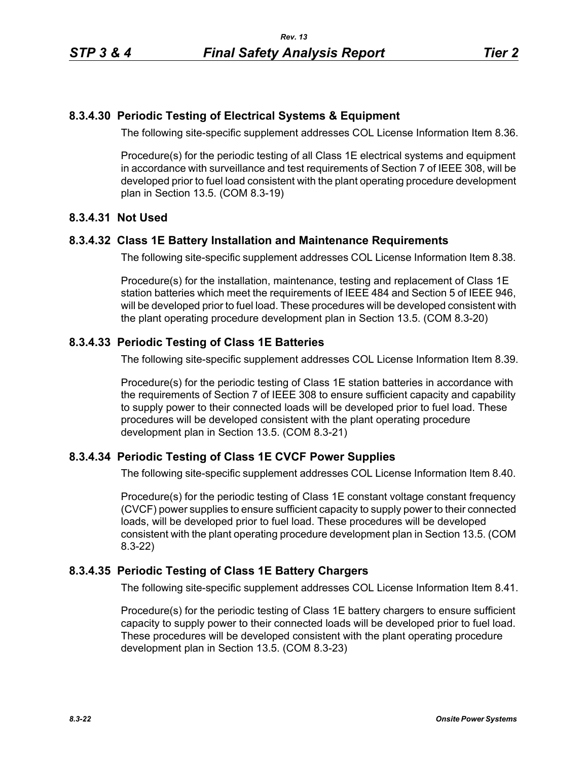# **8.3.4.30 Periodic Testing of Electrical Systems & Equipment**

The following site-specific supplement addresses COL License Information Item 8.36.

Procedure(s) for the periodic testing of all Class 1E electrical systems and equipment in accordance with surveillance and test requirements of Section 7 of IEEE 308, will be developed prior to fuel load consistent with the plant operating procedure development plan in Section 13.5. (COM 8.3-19)

# **8.3.4.31 Not Used**

# **8.3.4.32 Class 1E Battery Installation and Maintenance Requirements**

The following site-specific supplement addresses COL License Information Item 8.38.

Procedure(s) for the installation, maintenance, testing and replacement of Class 1E station batteries which meet the requirements of IEEE 484 and Section 5 of IEEE 946, will be developed prior to fuel load. These procedures will be developed consistent with the plant operating procedure development plan in Section 13.5. (COM 8.3-20)

# **8.3.4.33 Periodic Testing of Class 1E Batteries**

The following site-specific supplement addresses COL License Information Item 8.39.

Procedure(s) for the periodic testing of Class 1E station batteries in accordance with the requirements of Section 7 of IEEE 308 to ensure sufficient capacity and capability to supply power to their connected loads will be developed prior to fuel load. These procedures will be developed consistent with the plant operating procedure development plan in Section 13.5. (COM 8.3-21)

## **8.3.4.34 Periodic Testing of Class 1E CVCF Power Supplies**

The following site-specific supplement addresses COL License Information Item 8.40.

Procedure(s) for the periodic testing of Class 1E constant voltage constant frequency (CVCF) power supplies to ensure sufficient capacity to supply power to their connected loads, will be developed prior to fuel load. These procedures will be developed consistent with the plant operating procedure development plan in Section 13.5. (COM 8.3-22)

## **8.3.4.35 Periodic Testing of Class 1E Battery Chargers**

The following site-specific supplement addresses COL License Information Item 8.41.

Procedure(s) for the periodic testing of Class 1E battery chargers to ensure sufficient capacity to supply power to their connected loads will be developed prior to fuel load. These procedures will be developed consistent with the plant operating procedure development plan in Section 13.5. (COM 8.3-23)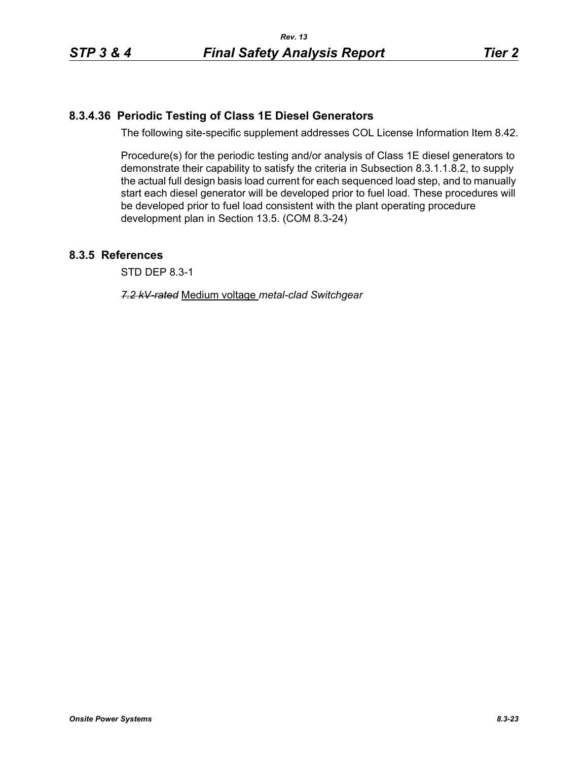# **8.3.4.36 Periodic Testing of Class 1E Diesel Generators**

The following site-specific supplement addresses COL License Information Item 8.42.

Procedure(s) for the periodic testing and/or analysis of Class 1E diesel generators to demonstrate their capability to satisfy the criteria in Subsection 8.3.1.1.8.2, to supply the actual full design basis load current for each sequenced load step, and to manually start each diesel generator will be developed prior to fuel load. These procedures will be developed prior to fuel load consistent with the plant operating procedure development plan in Section 13.5. (COM 8.3-24)

# **8.3.5 References**

STD DEP 8.3-1

*7.2 kV-rated* Medium voltage *metal-clad Switchgear*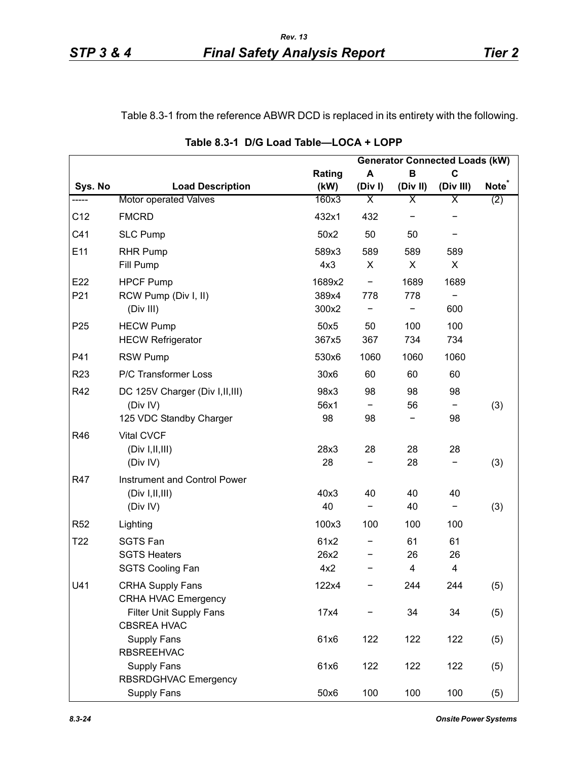Table 8.3-1 from the reference ABWR DCD is replaced in its entirety with the following.

|                 |                                   |        |                         |                         | <b>Generator Connected Loads (kW)</b> |                   |
|-----------------|-----------------------------------|--------|-------------------------|-------------------------|---------------------------------------|-------------------|
|                 |                                   | Rating | A                       | B                       | $\mathbf C$                           |                   |
| Sys. No         | <b>Load Description</b>           | (kW)   | (Div)                   | (Div II)                | (Div III)                             | Note <sup>®</sup> |
| -----           | <b>Motor operated Valves</b>      | 160x3  | $\overline{\mathsf{X}}$ | $\overline{\mathsf{x}}$ | Χ                                     | (2)               |
| C12             | <b>FMCRD</b>                      | 432x1  | 432                     |                         |                                       |                   |
| C41             | <b>SLC Pump</b>                   | 50x2   | 50                      | 50                      |                                       |                   |
| E11             | <b>RHR Pump</b>                   | 589x3  | 589                     | 589                     | 589                                   |                   |
|                 | Fill Pump                         | 4x3    | X                       | X                       | X                                     |                   |
| E22             | <b>HPCF Pump</b>                  | 1689x2 |                         | 1689                    | 1689                                  |                   |
| P21             | RCW Pump (Div I, II)              | 389x4  | 778                     | 778                     |                                       |                   |
|                 | (Div III)                         | 300x2  |                         |                         | 600                                   |                   |
| P <sub>25</sub> | <b>HECW Pump</b>                  | 50x5   | 50                      | 100                     | 100                                   |                   |
|                 | <b>HECW Refrigerator</b>          | 367x5  | 367                     | 734                     | 734                                   |                   |
| P41             | <b>RSW Pump</b>                   | 530x6  | 1060                    | 1060                    | 1060                                  |                   |
| R <sub>23</sub> | P/C Transformer Loss              | 30x6   | 60                      | 60                      | 60                                    |                   |
| R42             | DC 125V Charger (Div I, II, III)  | 98x3   | 98                      | 98                      | 98                                    |                   |
|                 | (Div IV)                          | 56x1   |                         | 56                      |                                       | (3)               |
|                 | 125 VDC Standby Charger           | 98     | 98                      |                         | 98                                    |                   |
| R46             | <b>Vital CVCF</b>                 |        |                         |                         |                                       |                   |
|                 | (Div I, II, III)                  | 28x3   | 28                      | 28                      | 28                                    |                   |
|                 | (Div IV)                          | 28     |                         | 28                      |                                       | (3)               |
| <b>R47</b>      | Instrument and Control Power      |        |                         |                         |                                       |                   |
|                 | (Div I, II, III)                  | 40x3   | 40                      | 40                      | 40                                    |                   |
|                 | (Div IV)                          | 40     |                         | 40                      | -                                     | (3)               |
| R <sub>52</sub> | Lighting                          | 100x3  | 100                     | 100                     | 100                                   |                   |
| T <sub>22</sub> | <b>SGTS Fan</b>                   | 61x2   |                         | 61                      | 61                                    |                   |
|                 | <b>SGTS Heaters</b>               | 26x2   |                         | 26                      | 26                                    |                   |
|                 | <b>SGTS Cooling Fan</b>           | 4x2    |                         | 4                       | 4                                     |                   |
| U41             | <b>CRHA Supply Fans</b>           | 122x4  |                         | 244                     | 244                                   | (5)               |
|                 | <b>CRHA HVAC Emergency</b>        |        |                         |                         |                                       |                   |
|                 | <b>Filter Unit Supply Fans</b>    | 17x4   |                         | 34                      | 34                                    | (5)               |
|                 | <b>CBSREA HVAC</b><br>Supply Fans |        | 122                     |                         |                                       |                   |
|                 | <b>RBSREEHVAC</b>                 | 61x6   |                         | 122                     | 122                                   | (5)               |
|                 | <b>Supply Fans</b>                | 61x6   | 122                     | 122                     | 122                                   | (5)               |
|                 | RBSRDGHVAC Emergency              |        |                         |                         |                                       |                   |
|                 | Supply Fans                       | 50x6   | 100                     | 100                     | 100                                   | (5)               |

**Table 8.3-1 D/G Load Table—LOCA + LOPP**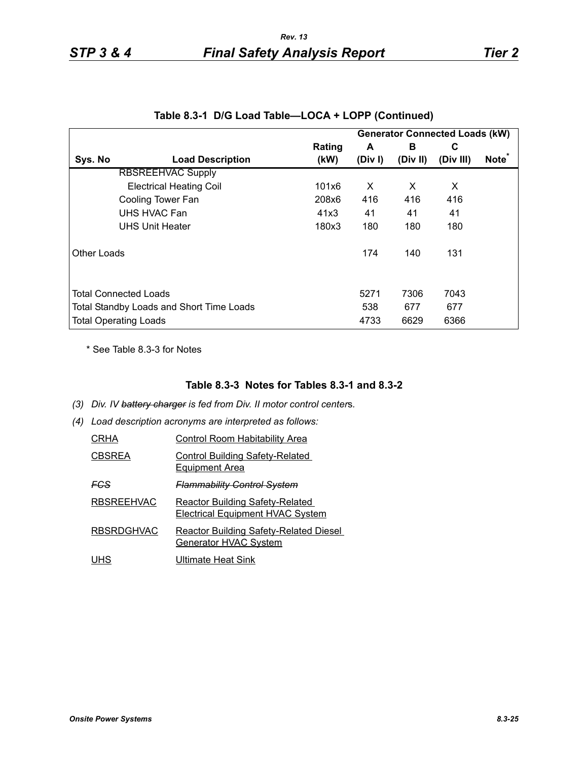|             |                                                                                 |                |             |               | <b>Generator Connected Loads (kW)</b> |                   |
|-------------|---------------------------------------------------------------------------------|----------------|-------------|---------------|---------------------------------------|-------------------|
| Sys. No     | <b>Load Description</b>                                                         | Rating<br>(kW) | A<br>(Div)  | в<br>(Div II) | C<br>(Div III)                        | Note <sup>*</sup> |
|             | <b>RBSREEHVAC Supply</b>                                                        |                |             |               |                                       |                   |
|             | <b>Electrical Heating Coil</b>                                                  | 101x6          | X           | X             | X                                     |                   |
|             | Cooling Tower Fan                                                               | 208x6          | 416         | 416           | 416                                   |                   |
|             | UHS HVAC Fan                                                                    | 41x3           | 41          | 41            | 41                                    |                   |
|             | <b>UHS Unit Heater</b>                                                          | 180x3          | 180         | 180           | 180                                   |                   |
| Other Loads |                                                                                 |                | 174         | 140           | 131                                   |                   |
|             | <b>Total Connected Loads</b><br><b>Total Standby Loads and Short Time Loads</b> |                | 5271<br>538 | 7306<br>677   | 7043<br>677                           |                   |
|             | <b>Total Operating Loads</b>                                                    |                | 4733        | 6629          | 6366                                  |                   |

|  |  | Table 8.3-1 D/G Load Table—LOCA + LOPP (Continued) |  |  |
|--|--|----------------------------------------------------|--|--|
|--|--|----------------------------------------------------|--|--|

\* See Table 8.3-3 for Notes

#### **Table 8.3-3 Notes for Tables 8.3-1 and 8.3-2**

- *(3) Div. IV battery charger is fed from Div. II motor control center*s*.*
- *(4) Load description acronyms are interpreted as follows:*

| CRHA              | Control Room Habitability Area                                                    |
|-------------------|-----------------------------------------------------------------------------------|
| <b>CBSREA</b>     | <b>Control Building Safety-Related</b><br><b>Equipment Area</b>                   |
| FCS               | <del>Flammability Control System</del>                                            |
| <b>RBSREEHVAC</b> | <b>Reactor Building Safety-Related</b><br><b>Electrical Equipment HVAC System</b> |
| <b>RBSRDGHVAC</b> | <b>Reactor Building Safety-Related Diesel</b><br>Generator HVAC System            |
| UHS               | Ultimate Heat Sink                                                                |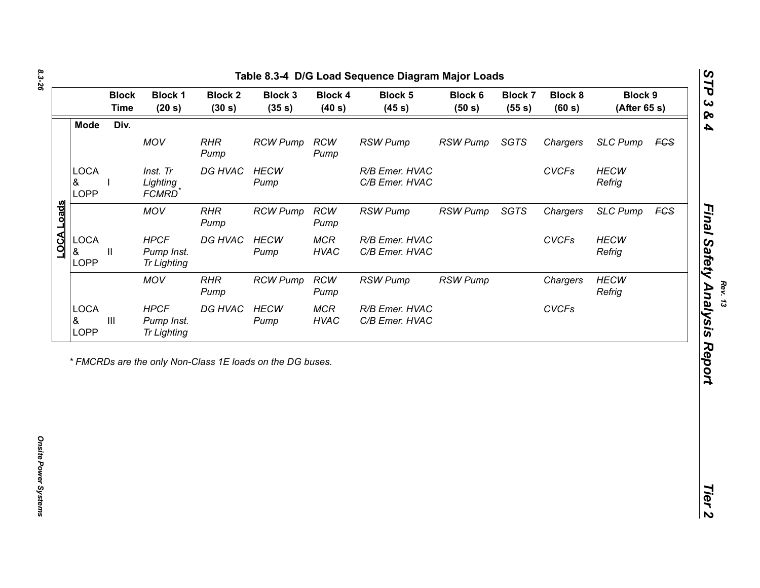| <b>Mode</b><br>Div.<br>MOV<br><b>RHR</b><br><b>RCW</b><br>SGTS<br><b>SLC Pump</b><br><b>RCW Pump</b><br><b>RSW Pump</b><br><b>RSW Pump</b><br>Chargers<br><b>FGS</b><br>Pump<br>Pump<br><b>LOCA</b><br><b>HECW</b><br>Inst. Tr<br>DG HVAC<br><b>HECW</b><br>R/B Emer. HVAC<br><b>CVCFs</b><br>C/B Emer. HVAC<br>Refrig<br>&<br>Lighting<br>Pump<br>LOPP<br><b>FCMRD</b><br><b>MOV</b><br>SGTS<br><b>RCW Pump</b><br><b>RCW</b><br><b>RSW Pump</b><br><b>RSW Pump</b><br>Chargers<br><b>SLC Pump</b><br>FGS<br><b>RHR</b><br>Pump<br>Pump<br><b>LOCA</b><br><b>HPCF</b><br>DG HVAC<br><b>HECW</b><br><b>CVCFs</b><br><b>HECW</b><br><b>MCR</b><br>R/B Emer. HVAC<br>&<br>$\mathbf{H}$<br>Pump Inst.<br><b>HVAC</b><br>C/B Emer. HVAC<br>Refrig<br>Pump<br><b>LOPP</b><br><b>Tr Lighting</b><br><b>HECW</b><br><b>MOV</b><br><b>RCW Pump</b><br><b>RCW</b><br><b>RSW Pump</b><br><b>RSW Pump</b><br><b>RHR</b><br>Chargers<br>Refrig<br>Pump<br>Pump |  |
|----------------------------------------------------------------------------------------------------------------------------------------------------------------------------------------------------------------------------------------------------------------------------------------------------------------------------------------------------------------------------------------------------------------------------------------------------------------------------------------------------------------------------------------------------------------------------------------------------------------------------------------------------------------------------------------------------------------------------------------------------------------------------------------------------------------------------------------------------------------------------------------------------------------------------------------------------|--|
|                                                                                                                                                                                                                                                                                                                                                                                                                                                                                                                                                                                                                                                                                                                                                                                                                                                                                                                                                    |  |
|                                                                                                                                                                                                                                                                                                                                                                                                                                                                                                                                                                                                                                                                                                                                                                                                                                                                                                                                                    |  |
|                                                                                                                                                                                                                                                                                                                                                                                                                                                                                                                                                                                                                                                                                                                                                                                                                                                                                                                                                    |  |
| LOCA Loads                                                                                                                                                                                                                                                                                                                                                                                                                                                                                                                                                                                                                                                                                                                                                                                                                                                                                                                                         |  |
|                                                                                                                                                                                                                                                                                                                                                                                                                                                                                                                                                                                                                                                                                                                                                                                                                                                                                                                                                    |  |
|                                                                                                                                                                                                                                                                                                                                                                                                                                                                                                                                                                                                                                                                                                                                                                                                                                                                                                                                                    |  |
| <b>LOCA</b><br><b>HPCF</b><br>DG HVAC<br><b>HECW</b><br><b>MCR</b><br><b>CVCFs</b><br>R/B Emer. HVAC<br>$\ensuremath{\mathsf{III}}\xspace$<br>&<br>Pump Inst.<br>Pump<br><b>HVAC</b><br>C/B Emer. HVAC<br>LOPP<br><b>Tr Lighting</b>                                                                                                                                                                                                                                                                                                                                                                                                                                                                                                                                                                                                                                                                                                               |  |